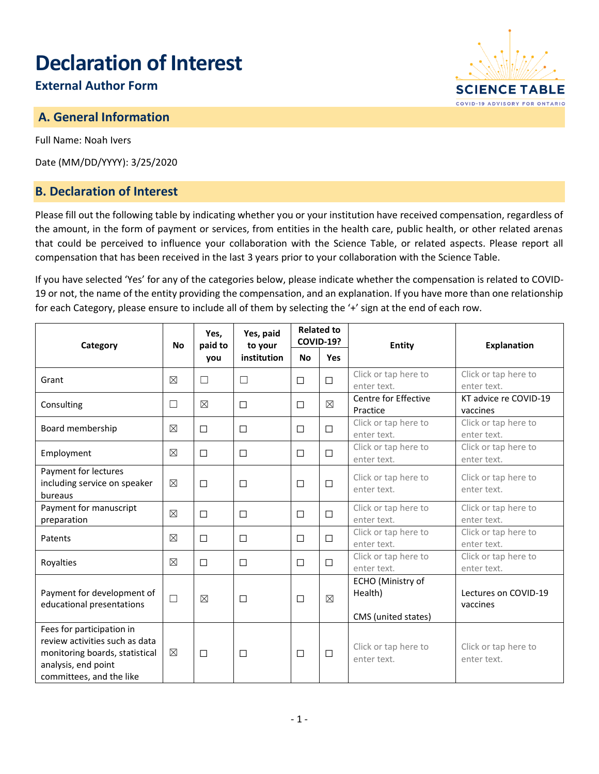# **Declaration of Interest**

# **External Author Form**

## **A. General Information**

Full Name: Noah Ivers

Date (MM/DD/YYYY): 3/25/2020

#### **B. Declaration of Interest**

Please fill out the following table by indicating whether you or your institution have received compensation, regardless of the amount, in the form of payment or services, from entities in the health care, public health, or other related arenas that could be perceived to influence your collaboration with the Science Table, or related aspects. Please report all compensation that has been received in the last 3 years prior to your collaboration with the Science Table.

If you have selected 'Yes' for any of the categories below, please indicate whether the compensation is related to COVID-19 or not, the name of the entity providing the compensation, and an explanation. If you have more than one relationship for each Category, please ensure to include all of them by selecting the '+' sign at the end of each row.

| Category                                                                                                                                         | <b>No</b>   | Yes,<br>paid to<br>you | Yes, paid<br>to your<br>institution | <b>Related to</b><br><b>COVID-19?</b> |             | <b>Entity</b>                                       | <b>Explanation</b>                  |
|--------------------------------------------------------------------------------------------------------------------------------------------------|-------------|------------------------|-------------------------------------|---------------------------------------|-------------|-----------------------------------------------------|-------------------------------------|
|                                                                                                                                                  |             |                        |                                     | No                                    | <b>Yes</b>  |                                                     |                                     |
| Grant                                                                                                                                            | $\boxtimes$ | $\Box$                 | $\Box$                              | $\Box$                                | $\Box$      | Click or tap here to<br>enter text.                 | Click or tap here to<br>enter text. |
| Consulting                                                                                                                                       | $\Box$      | $\boxtimes$            | □                                   | $\Box$                                | $\boxtimes$ | Centre for Effective<br>Practice                    | KT advice re COVID-19<br>vaccines   |
| Board membership                                                                                                                                 | $\boxtimes$ | $\Box$                 | □                                   | $\Box$                                | $\Box$      | Click or tap here to<br>enter text.                 | Click or tap here to<br>enter text. |
| Employment                                                                                                                                       | ⊠           | $\Box$                 | □                                   | $\Box$                                | $\Box$      | Click or tap here to<br>enter text.                 | Click or tap here to<br>enter text. |
| Payment for lectures<br>including service on speaker<br>bureaus                                                                                  | $\boxtimes$ | $\Box$                 | □                                   | $\Box$                                | $\Box$      | Click or tap here to<br>enter text.                 | Click or tap here to<br>enter text. |
| Payment for manuscript<br>preparation                                                                                                            | $\boxtimes$ | □                      | □                                   | □                                     | $\Box$      | Click or tap here to<br>enter text.                 | Click or tap here to<br>enter text. |
| Patents                                                                                                                                          | ⊠           | $\Box$                 | □                                   | $\Box$                                | П           | Click or tap here to<br>enter text.                 | Click or tap here to<br>enter text. |
| Royalties                                                                                                                                        | $\boxtimes$ | $\Box$                 | □                                   | $\Box$                                | $\Box$      | Click or tap here to<br>enter text.                 | Click or tap here to<br>enter text. |
| Payment for development of<br>educational presentations                                                                                          | $\Box$      | $\boxtimes$            | □                                   | $\Box$                                | $\boxtimes$ | ECHO (Ministry of<br>Health)<br>CMS (united states) | Lectures on COVID-19<br>vaccines    |
| Fees for participation in<br>review activities such as data<br>monitoring boards, statistical<br>analysis, end point<br>committees, and the like | $\boxtimes$ | $\Box$                 | □                                   | $\Box$                                | $\Box$      | Click or tap here to<br>enter text.                 | Click or tap here to<br>enter text. |